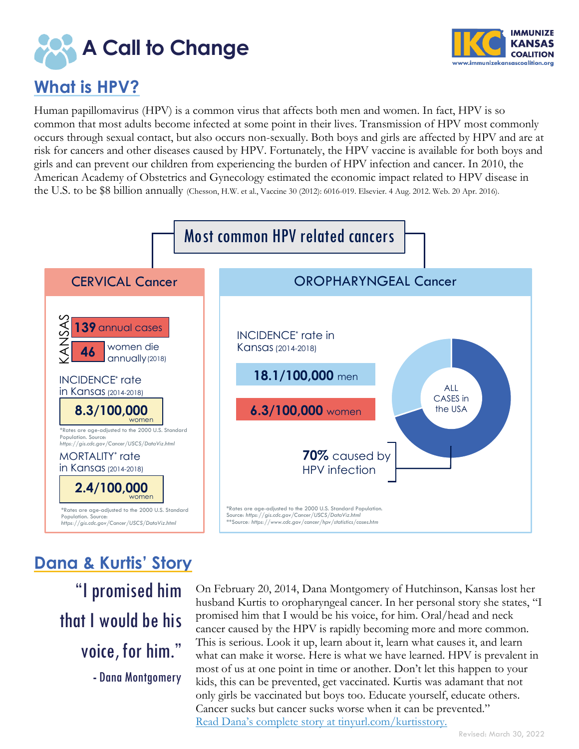



# **What is HPV?**

Human papillomavirus (HPV) is a common virus that affects both men and women. In fact, HPV is so common that most adults become infected at some point in their lives. Transmission of HPV most commonly occurs through sexual contact, but also occurs non-sexually. Both boys and girls are affected by HPV and are at risk for cancers and other diseases caused by HPV. Fortunately, the HPV vaccine is available for both boys and girls and can prevent our children from experiencing the burden of HPV infection and cancer. In 2010, the American Academy of Obstetrics and Gynecology estimated the economic impact related to HPV disease in the U.S. to be \$8 billion annually (Chesson, H.W. et al., Vaccine 30 (2012): 6016-019. Elsevier. 4 Aug. 2012. Web. 20 Apr. 2016).



# **Dana & Kurtis' Story**

"I promised him that I would be his voice, for him." **-** Dana Montgomery

On February 20, 2014, Dana Montgomery of Hutchinson, Kansas lost her husband Kurtis to oropharyngeal cancer. In her personal story she states, "I promised him that I would be his voice, for him. Oral/head and neck cancer caused by the HPV is rapidly becoming more and more common. This is serious. Look it up, learn about it, learn what causes it, and learn what can make it worse. Here is what we have learned. HPV is prevalent in most of us at one point in time or another. Don't let this happen to your kids, this can be prevented, get vaccinated. Kurtis was adamant that not only girls be vaccinated but boys too. Educate yourself, educate others. Cancer sucks but cancer sucks worse when it can be prevented." Read Dana's complete story [at tinyurl.com/kurtisstory.](https://tinyurl.com/KurtisStory)